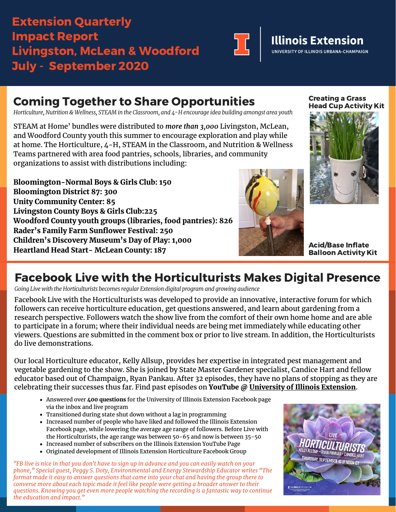## Extension Quarterly Impact Report Livingston, McLean & Woodford July - September 2020



# **Illinois Extension**

UNIVERSITY OF ILLINOIS URBANA-CHAMPAIGN

## Coming Together to Share Opportunities

*Horticulture, Nutrition & Wellness, STEAM in the Classroom, and 4-H encourage idea building amongst area youth*

STEAM at Home' bundles were distributed to *more than 3,000* Livingston, McLean, and Woodford County youth this summer to encourage exploration and play while at home. The Horticulture, 4-H, STEAM in the Classroom, and Nutrition & Wellness Teams partnered with area food pantries, schools, libraries, and community organizations to assist with distributions including:

**Bloomington-Normal Boys & Girls Club: 150 Bloomington District 87: 300 Unity Community Center: 85 Livingston County Boys & Girls Club:225 Woodford County youth groups (libraries, food pantries): 826 Rader's Family Farm Sunflower Festival: 250 Children's Discovery Museum's Day of Play: 1,000 Heartland Head Start- McLean County: 187**



Creating a Grass Head Cup Activity Kit



Acid/Base Inflate Balloon Activity Kit

### Facebook Live with the Horticulturists Makes Digital Presence

*Going Live with the Horticulturists becomes regular Extension digital program and growing audience* 

Facebook Live with the Horticulturists was developed to provide an innovative, interactive forum for which followers can receive horticulture education, get questions answered, and learn about gardening from a research perspective. Followers watch the show live from the comfort of their own home home and are able to participate in a forum; where their individual needs are being met immediately while educating other viewers. Questions are submitted in the comment box or prior to live stream. In addition, the Horticulturists do live demonstrations.

Our local Horticulture educator, Kelly Allsup, provides her expertise in integrated pest management and vegetable gardening to the show. She is joined by State Master Gardener specialist, Candice Hart and fellow educator based out of Champaign, Ryan Pankau. After 32 episodes, they have no plans of stopping as they are celebrating their successes thus far. Find past episodes on **YouTube @ [University of Illinois Extension](https://www.youtube.com/watch?v=cABO-uabd6E&list=PLIq7XlTOe3alQyeqet_5j1YNseo2fxvf4)**.

- Answered over **400 questions** for the University of Illinois Extension Facebook page via the inbox and live program
- Transitioned during state shut down without a lag in programming
- Increased number of people who have liked and followed the Illinois Extension Facebook page, while lowering the average age range of followers. Before Live with the Horticulturists, the age range was between 50-65 and now is between 35-50
- Increased number of subscribers on the Illinois Extension YouTube Page
- Originated development of Illinois Extension Horticulture Facebook Group

*"FB live is nice in that you don't have to sign up in advance and you can easily watch on your phone," Special guest, Peggy S. Doty, Environmental and Energy Stewardship Educator writes "The format made it easy to answer questions that came into your chat and having the group there to converse more about each topic made it feel like people were getting a broader answer to their questions. Knowing you get even more people watching the recording is a fantastic way to continue the education and impact."*